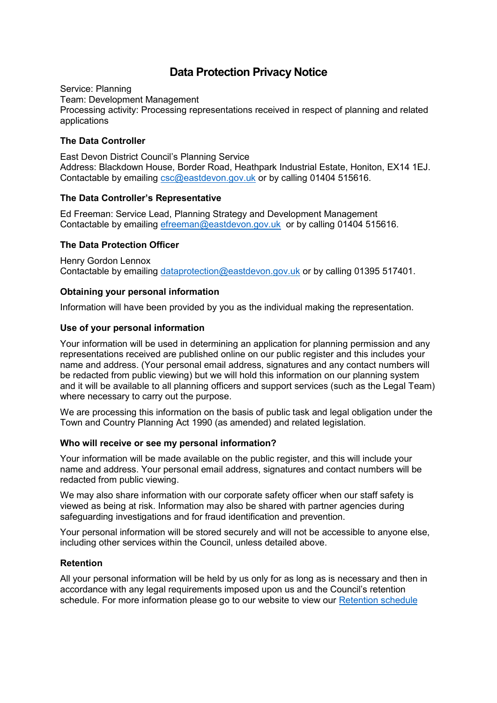# **Data Protection Privacy Notice**

Service: Planning Team: Development Management Processing activity: Processing representations received in respect of planning and related applications

# **The Data Controller**

East Devon District Council's Planning Service Address: Blackdown House, Border Road, Heathpark Industrial Estate, Honiton, EX14 1EJ. Contactable by emailing [csc@eastdevon.gov.uk](mailto:csc@eastdevon.gov.uk) or by calling 01404 515616.

# **The Data Controller's Representative**

Ed Freeman: Service Lead, Planning Strategy and Development Management Contactable by emailing [efreeman@eastdevon.gov.uk](mailto:efreeman@eastdevon.gov.uk) or by calling 01404 515616.

## **The Data Protection Officer**

Henry Gordon Lennox Contactable by emailing [dataprotection@eastdevon.gov.uk](mailto:dataprotection@eastdevon.gov.uk) or by calling 01395 517401.

## **Obtaining your personal information**

Information will have been provided by you as the individual making the representation.

## **Use of your personal information**

Your information will be used in determining an application for planning permission and any representations received are published online on our public register and this includes your name and address. (Your personal email address, signatures and any contact numbers will be redacted from public viewing) but we will hold this information on our planning system and it will be available to all planning officers and support services (such as the Legal Team) where necessary to carry out the purpose.

We are processing this information on the basis of public task and legal obligation under the Town and Country Planning Act 1990 (as amended) and related legislation.

#### **Who will receive or see my personal information?**

Your information will be made available on the public register, and this will include your name and address. Your personal email address, signatures and contact numbers will be redacted from public viewing.

We may also share information with our corporate safety officer when our staff safety is viewed as being at risk. Information may also be shared with partner agencies during safeguarding investigations and for fraud identification and prevention.

Your personal information will be stored securely and will not be accessible to anyone else, including other services within the Council, unless detailed above.

# **Retention**

All your personal information will be held by us only for as long as is necessary and then in accordance with any legal requirements imposed upon us and the Council's retention schedule. For more information please go to our website to view our [Retention schedule](http://eastdevon.gov.uk/access-to-information/data-protection/document-retention-schedules/)